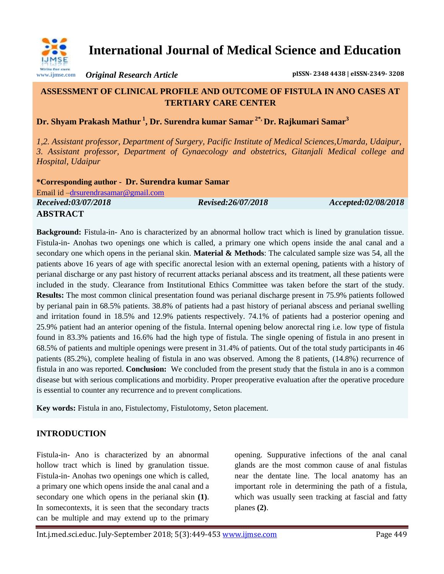

**International Journal of Medical Science and Education**

*Original Research Article* **pISSN- 2348 4438 | eISSN-2349- 3208**

# **ASSESSMENT OF CLINICAL PROFILE AND OUTCOME OF FISTULA IN ANO CASES AT TERTIARY CARE CENTER**

**Dr. Shyam Prakash Mathur <sup>1</sup> , Dr. Surendra kumar Samar 2\*, Dr. Rajkumari Samar<sup>3</sup>**

*1,2. Assistant professor, Department of Surgery, Pacific Institute of Medical Sciences,Umarda, Udaipur, 3. Assistant professor, Department of Gynaecology and obstetrics, Gitanjali Medical college and Hospital, Udaipur*

**\*Corresponding author - Dr. Surendra kumar Samar** Email id [–drsurendrasamar@gmail.com](mailto:drsurendrasamar@gmail.com) *Received:03/07/2018 Revised:26/07/2018 Accepted:02/08/2018* **ABSTRACT**

**Background:** Fistula-in- Ano is characterized by an abnormal hollow tract which is lined by granulation tissue. Fistula-in- Anohas two openings one which is called, a primary one which opens inside the anal canal and a secondary one which opens in the perianal skin. **Material & Methods**: The calculated sample size was 54, all the patients above 16 years of age with specific anorectal lesion with an external opening, patients with a history of perianal discharge or any past history of recurrent attacks perianal abscess and its treatment, all these patients were included in the study. Clearance from Institutional Ethics Committee was taken before the start of the study. **Results:** The most common clinical presentation found was perianal discharge present in 75.9% patients followed by perianal pain in 68.5% patients. 38.8% of patients had a past history of perianal abscess and perianal swelling and irritation found in 18.5% and 12.9% patients respectively. 74.1% of patients had a posterior opening and 25.9% patient had an anterior opening of the fistula. Internal opening below anorectal ring i.e. low type of fistula found in 83.3% patients and 16.6% had the high type of fistula. The single opening of fistula in ano present in 68.5% of patients and multiple openings were present in 31.4% of patients. Out of the total study participants in 46 patients (85.2%), complete healing of fistula in ano was observed. Among the 8 patients, (14.8%) recurrence of fistula in ano was reported. **Conclusion:** We concluded from the present study that the fistula in ano is a common disease but with serious complications and morbidity. Proper preoperative evaluation after the operative procedure is essential to counter any recurrence and to prevent complications.

**Key words:** Fistula in ano, Fistulectomy, Fistulotomy, Seton placement.

# **INTRODUCTION**

Fistula-in- Ano is characterized by an abnormal hollow tract which is lined by granulation tissue. Fistula-in- Anohas two openings one which is called, a primary one which opens inside the anal canal and a secondary one which opens in the perianal skin **(1)**. In somecontexts, it is seen that the secondary tracts can be multiple and may extend up to the primary

opening. Suppurative infections of the anal canal glands are the most common cause of anal fistulas near the dentate line. The local anatomy has an important role in determining the path of a fistula, which was usually seen tracking at fascial and fatty planes **(2)**.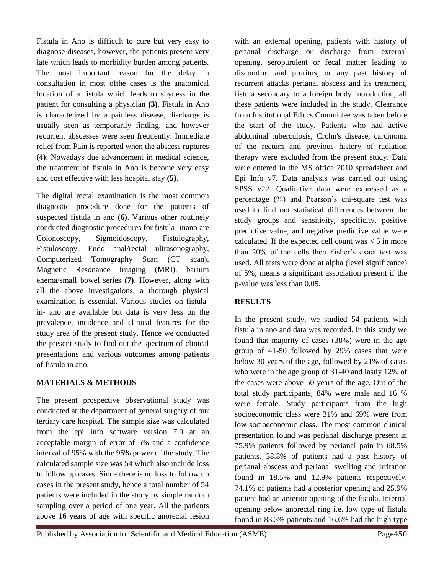Fistula in Ano is difficult to cure but very easy to diagnose diseases, however, the patients present very late which leads to morbidity burden among patients. The most important reason for the delay in consultation in most ofthe cases is the anatomical location of a fistula which leads to shyness in the patient for consulting a physician **(3)**. Fistula in Ano is characterized by a painless disease, discharge is usually seen as temporarily finding, and however recurrent abscesses were seen frequently. Immediate relief from Pain is reported when the abscess ruptures **(4)**. Nowadays due advancement in medical science, the treatment of fistula in Ano is become very easy and cost effective with less hospital stay **(5)**.

The digital rectal examination is the most common diagnostic procedure done for the patients of suspected fistula in ano **(6)**. Various other routinely conducted diagnostic procedures for fistula- inano are Colonoscopy, Sigmoidoscopy, Fistulography, Fistuloscopy, Endo anal/rectal ultrasonography, Computerized Tomography Scan (CT scan), Magnetic Resonance Imaging (MRI), barium enema/small bowel series **(7)**. However, along with all the above investigations, a thorough physical examination is essential. Various studies on fistulain- ano are available but data is very less on the prevalence, incidence and clinical features for the study area of the present study. Hence we conducted the present study to find out the spectrum of clinical presentations and various outcomes among patients of fistula in ano.

## **MATERIALS & METHODS**

The present prospective observational study was conducted at the department of general surgery of our tertiary care hospital. The sample size was calculated from the epi info software version 7.0 at an acceptable margin of error of 5% and a confidence interval of 95% with the 95% power of the study. The calculated sample size was 54 which also include loss to follow up cases. Since there is no loss to follow up cases in the present study, hence a total number of 54 patients were included in the study by simple random sampling over a period of one year. All the patients above 16 years of age with specific anorectal lesion

with an external opening, patients with history of perianal discharge or discharge from external opening, seropurulent or fecal matter leading to discomfort and pruritus, or any past history of recurrent attacks perianal abscess and its treatment, fistula secondary to a foreign body introduction, all these patients were included in the study. Clearance from Institutional Ethics Committee was taken before the start of the study. Patients who had active abdominal tuberculosis, Crohn's disease, carcinoma of the rectum and previous history of radiation therapy were excluded from the present study. Data were entered in the MS office 2010 spreadsheet and Epi Info v7. Data analysis was carried out using SPSS v22. Qualitative data were expressed as a percentage (%) and Pearson's chi-square test was used to find out statistical differences between the study groups and sensitivity, specificity, positive predictive value, and negative predictive value were calculated. If the expected cell count was  $\lt 5$  in more than 20% of the cells then Fisher's exact test was used. All tests were done at alpha (level significance) of 5%; means a significant association present if the p-value was less than 0.05.

# **RESULTS**

In the present study, we studied 54 patients with fistula in ano and data was recorded. In this study we found that majority of cases (38%) were in the age group of 41-50 followed by 29% cases that were below 30 years of the age, followed by 21% of cases who were in the age group of 31-40 and lastly 12% of the cases were above 50 years of the age. Out of the total study participants, 84% were male and 16 % were female. Study participants from the high socioeconomic class were 31% and 69% were from low socioeconomic class. The most common clinical presentation found was perianal discharge present in 75.9% patients followed by perianal pain in 68.5% patients. 38.8% of patients had a past history of perianal abscess and perianal swelling and irritation found in 18.5% and 12.9% patients respectively. 74.1% of patients had a posterior opening and 25.9% patient had an anterior opening of the fistula. Internal opening below anorectal ring i.e. low type of fistula found in 83.3% patients and 16.6% had the high type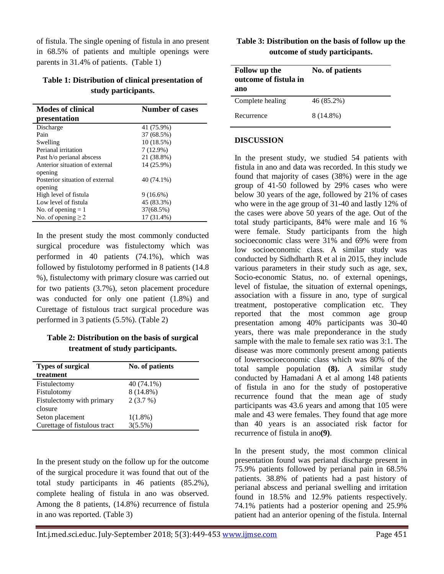of fistula. The single opening of fistula in ano present in 68.5% of patients and multiple openings were parents in 31.4% of patients. (Table 1)

### **Table 1: Distribution of clinical presentation of study participants.**

| <b>Modes of clinical</b>        | <b>Number of cases</b> |
|---------------------------------|------------------------|
| presentation                    |                        |
| Discharge                       | 41 (75.9%)             |
| Pain                            | 37 (68.5%)             |
| Swelling                        | 10(18.5%)              |
| Perianal irritation             | $7(12.9\%)$            |
| Past h/o perianal abscess       | 21 (38.8%)             |
| Anterior situation of external  | 14 (25.9%)             |
| opening                         |                        |
| Posterior situation of external | 40 (74.1%)             |
| opening                         |                        |
| High level of fistula           | $9(16.6\%)$            |
| Low level of fistula            | 45 (83.3%)             |
| No. of opening $= 1$            | 37(68.5%)              |
| No. of opening $\geq$ 2         | 17 (31.4%)             |

In the present study the most commonly conducted surgical procedure was fistulectomy which was performed in 40 patients (74.1%), which was followed by fistulotomy performed in 8 patients (14.8 %), fistulectomy with primary closure was carried out for two patients (3.7%), seton placement procedure was conducted for only one patient (1.8%) and Curettage of fistulous tract surgical procedure was performed in 3 patients (5.5%). (Table 2)

## **Table 2: Distribution on the basis of surgical treatment of study participants.**

| <b>Types of surgical</b>     | No. of patients |
|------------------------------|-----------------|
| treatment                    |                 |
| Fistulectomy                 | 40 (74.1%)      |
| Fistulotomy                  | $8(14.8\%)$     |
| Fistulectomy with primary    | 2(3.7%)         |
| closure                      |                 |
| Seton placement              | $1(1.8\%)$      |
| Curettage of fistulous tract | $3(5.5\%)$      |

In the present study on the follow up for the outcome of the surgical procedure it was found that out of the total study participants in 46 patients (85.2%), complete healing of fistula in ano was observed. Among the 8 patients, (14.8%) recurrence of fistula in ano was reported. (Table 3)

#### **Table 3: Distribution on the basis of follow up the outcome of study participants.**

| <b>Follow</b> up the<br>outcome of fistula in<br>ano | No. of patients |
|------------------------------------------------------|-----------------|
| Complete healing                                     | 46 (85.2%)      |
| Recurrence                                           | 8 (14.8%)       |

#### **DISCUSSION**

In the present study, we studied 54 patients with fistula in ano and data was recorded. In this study we found that majority of cases (38%) were in the age group of 41-50 followed by 29% cases who were below 30 years of the age, followed by 21% of cases who were in the age group of 31-40 and lastly 12% of the cases were above 50 years of the age. Out of the total study participants, 84% were male and 16 % were female. Study participants from the high socioeconomic class were 31% and 69% were from low socioeconomic class. A similar study was conducted by Sidhdharth R et al in 2015, they include various parameters in their study such as age, sex, Socio-economic Status, no. of external openings, level of fistulae, the situation of external openings, association with a fissure in ano, type of surgical treatment, postoperative complication etc. They reported that the most common age group presentation among 40% participants was 30-40 years, there was male preponderance in the study sample with the male to female sex ratio was 3:1. The disease was more commonly present among patients of lowersocioeconomic class which was 80% of the total sample population **(8).** A similar study conducted by Hamadani A et al among 148 patients of fistula in ano for the study of postoperative recurrence found that the mean age of study participants was 43.6 years and among that 105 were male and 43 were females. They found that age more than 40 years is an associated risk factor for recurrence of fistula in ano**(9)**.

In the present study, the most common clinical presentation found was perianal discharge present in 75.9% patients followed by perianal pain in 68.5% patients. 38.8% of patients had a past history of perianal abscess and perianal swelling and irritation found in 18.5% and 12.9% patients respectively. 74.1% patients had a posterior opening and 25.9% patient had an anterior opening of the fistula. Internal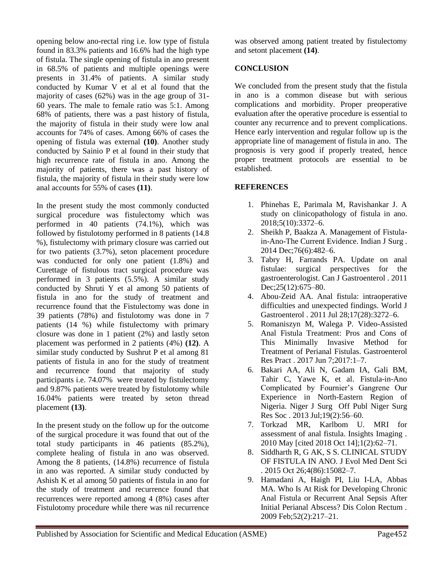opening below ano-rectal ring i.e. low type of fistula found in 83.3% patients and 16.6% had the high type of fistula. The single opening of fistula in ano present in 68.5% of patients and multiple openings were presents in 31.4% of patients. A similar study conducted by Kumar V et al et al found that the majority of cases (62%) was in the age group of 31- 60 years. The male to female ratio was 5:1. Among 68% of patients, there was a past history of fistula, the majority of fistula in their study were low anal accounts for 74% of cases. Among 66% of cases the opening of fistula was external **(10)**. Another study conducted by Sainio P et al found in their study that high recurrence rate of fistula in ano. Among the majority of patients, there was a past history of fistula, the majority of fistula in their study were low anal accounts for 55% of cases **(11)**.

In the present study the most commonly conducted surgical procedure was fistulectomy which was performed in 40 patients (74.1%), which was followed by fistulotomy performed in 8 patients (14.8 %), fistulectomy with primary closure was carried out for two patients (3.7%), seton placement procedure was conducted for only one patient (1.8%) and Curettage of fistulous tract surgical procedure was performed in 3 patients (5.5%). A similar study conducted by Shruti Y et al among 50 patients of fistula in ano for the study of treatment and recurrence found that the Fistulectomy was done in 39 patients (78%) and fistulotomy was done in 7 patients (14 %) while fistulectomy with primary closure was done in 1 patient (2%) and lastly seton placement was performed in 2 patients (4%) **(12)**. A similar study conducted by Sushrut P et al among 81 patients of fistula in ano for the study of treatment and recurrence found that majority of study participants i.e. 74.07% were treated by fistulectomy and 9.87% patients were treated by fistulotomy while 16.04% patients were treated by seton thread placement **(13)**.

In the present study on the follow up for the outcome of the surgical procedure it was found that out of the total study participants in 46 patients (85.2%), complete healing of fistula in ano was observed. Among the 8 patients, (14.8%) recurrence of fistula in ano was reported. A similar study conducted by Ashish K et al among 50 patients of fistula in ano for the study of treatment and recurrence found that recurrences were reported among 4 (8%) cases after Fistulotomy procedure while there was nil recurrence

was observed among patient treated by fistulectomy and setont placement **(14)**.

#### **CONCLUSION**

We concluded from the present study that the fistula in ano is a common disease but with serious complications and morbidity. Proper preoperative evaluation after the operative procedure is essential to counter any recurrence and to prevent complications. Hence early intervention and regular follow up is the appropriate line of management of fistula in ano. The prognosis is very good if properly treated, hence proper treatment protocols are essential to be established.

### **REFERENCES**

- 1. Phinehas E, Parimala M, Ravishankar J. A study on clinicopathology of fistula in ano. 2018;5(10):3372–6.
- 2. Sheikh P, Baakza A. Management of Fistulain-Ano-The Current Evidence. Indian J Surg . 2014 Dec;76(6):482–6.
- 3. Tabry H, Farrands PA. Update on anal fistulae: surgical perspectives for the gastroenterologist. Can J Gastroenterol . 2011 Dec; 25(12): 675–80.
- 4. Abou-Zeid AA. Anal fistula: intraoperative difficulties and unexpected findings. World J Gastroenterol . 2011 Jul 28;17(28):3272–6.
- 5. Romaniszyn M, Walega P. Video-Assisted Anal Fistula Treatment: Pros and Cons of This Minimally Invasive Method for Treatment of Perianal Fistulas. Gastroenterol Res Pract . 2017 Jun 7;2017:1–7.
- 6. Bakari AA, Ali N, Gadam IA, Gali BM, Tahir C, Yawe K, et al. Fistula-in-Ano Complicated by Fournier's Gangrene Our Experience in North-Eastern Region of Nigeria. Niger J Surg Off Publ Niger Surg Res Soc . 2013 Jul;19(2):56–60.
- 7. Torkzad MR, Karlbom U. MRI for assessment of anal fistula. Insights Imaging . 2010 May [cited 2018 Oct 14];1(2):62–71.
- 8. Siddharth R, G AK, S S. CLINICAL STUDY OF FISTULA IN ANO. J Evol Med Dent Sci . 2015 Oct 26;4(86):15082–7.
- 9. Hamadani A, Haigh PI, Liu I-LA, Abbas MA. Who Is At Risk for Developing Chronic Anal Fistula or Recurrent Anal Sepsis After Initial Perianal Abscess? Dis Colon Rectum . 2009 Feb;52(2):217–21.